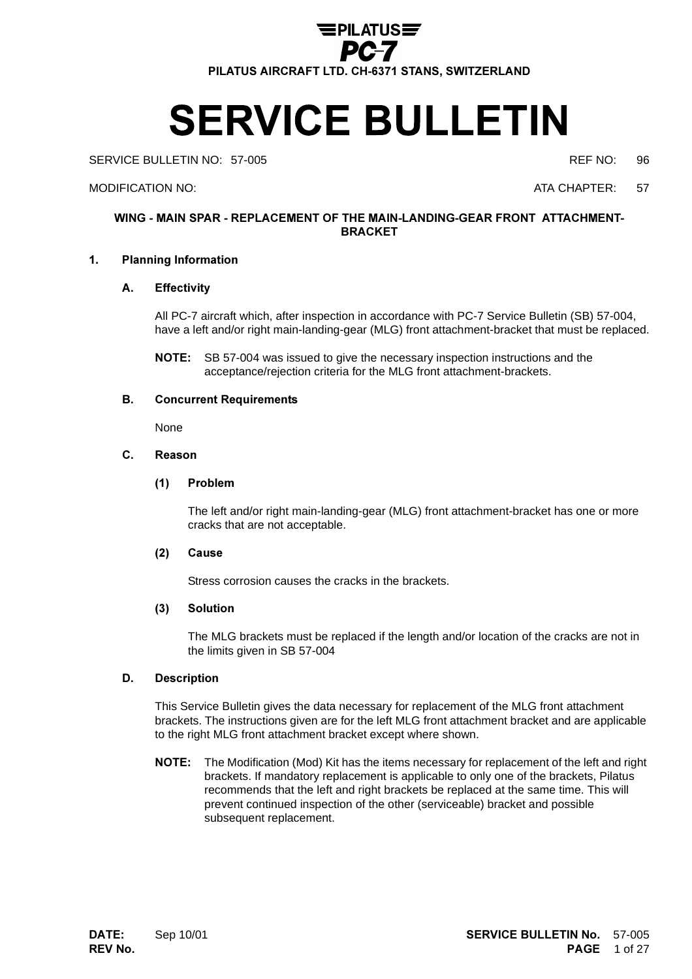

# **SERVICE BULLETIN**

SERVICE BULLETIN NO: 57-005 REF NO: 96

#### MODIFICATION NO: ATA CHAPTER: 57

### WING - MAIN SPAR - REPLACEMENT OF THE MAIN-LANDING-GEAR FRONT ATTACHMENT-**BRACKET**

### 1. Planning Information

#### A. **Effectivity**

All PC-7 aircraft which, after inspection in accordance with PC-7 Service Bulletin (SB) 57-004, have a left and/or right main-landing-gear (MLG) front attachment-bracket that must be replaced.

NOTE: SB 57-004 was issued to give the necessary inspection instructions and the acceptance/rejection criteria for the MLG front attachment-brackets.

#### **B. Concurrent Requirements**

None

#### $C_{-}$ **Reason**

#### (1) Problem

The left and/or right main-landing-gear (MLG) front attachment-bracket has one or more cracks that are not acceptable.

#### $(2)$ **Cause**

Stress corrosion causes the cracks in the brackets.

### (3) Solution

The MLG brackets must be replaced if the length and/or location of the cracks are not in the limits given in SB 57-004

#### D. Description

This Service Bulletin gives the data necessary for replacement of the MLG front attachment brackets. The instructions given are for the left MLG front attachment bracket and are applicable to the right MLG front attachment bracket except where shown.

NOTE: The Modification (Mod) Kit has the items necessary for replacement of the left and right brackets. If mandatory replacement is applicable to only one of the brackets, Pilatus recommends that the left and right brackets be replaced at the same time. This will prevent continued inspection of the other (serviceable) bracket and possible subsequent replacement.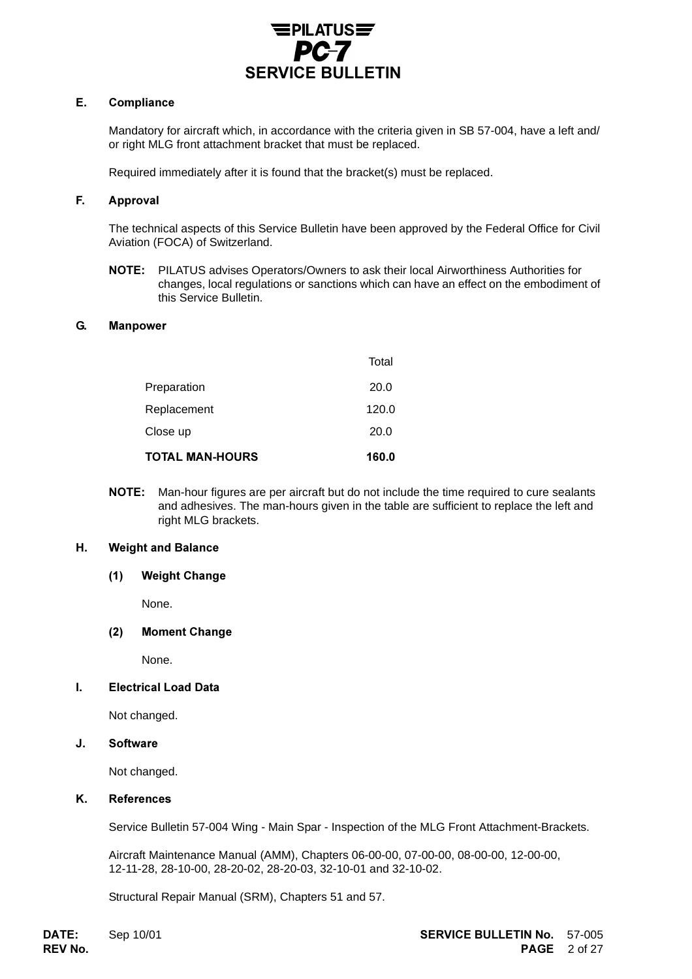

#### E. Compliance

Mandatory for aircraft which, in accordance with the criteria given in SB 57-004, have a left and/ or right MLG front attachment bracket that must be replaced.

Required immediately after it is found that the bracket(s) must be replaced.

#### F. Approval

The technical aspects of this Service Bulletin have been approved by the Federal Office for Civil Aviation (FOCA) of Switzerland.

NOTE: PILATUS advises Operators/Owners to ask their local Airworthiness Authorities for changes, local regulations or sanctions which can have an effect on the embodiment of this Service Bulletin.

#### G. Manpower

| <b>TOTAL MAN-HOURS</b> | 160.0 |
|------------------------|-------|
| Close up               | 20.0  |
| Replacement            | 120.0 |
| Preparation            | 20.0  |
|                        | Total |

NOTE: Man-hour figures are per aircraft but do not include the time required to cure sealants and adhesives. The man-hours given in the table are sufficient to replace the left and right MLG brackets.

#### H. Weight and Balance

#### (1) Weight Change

None.

#### (2) Moment Change

None.

#### I. Electrical Load Data

Not changed.

#### J. Software

Not changed.

### K. References

Service Bulletin 57-004 Wing - Main Spar - Inspection of the MLG Front Attachment-Brackets.

Aircraft Maintenance Manual (AMM), Chapters 06-00-00, 07-00-00, 08-00-00, 12-00-00, 12-11-28, 28-10-00, 28-20-02, 28-20-03, 32-10-01 and 32-10-02.

Structural Repair Manual (SRM), Chapters 51 and 57.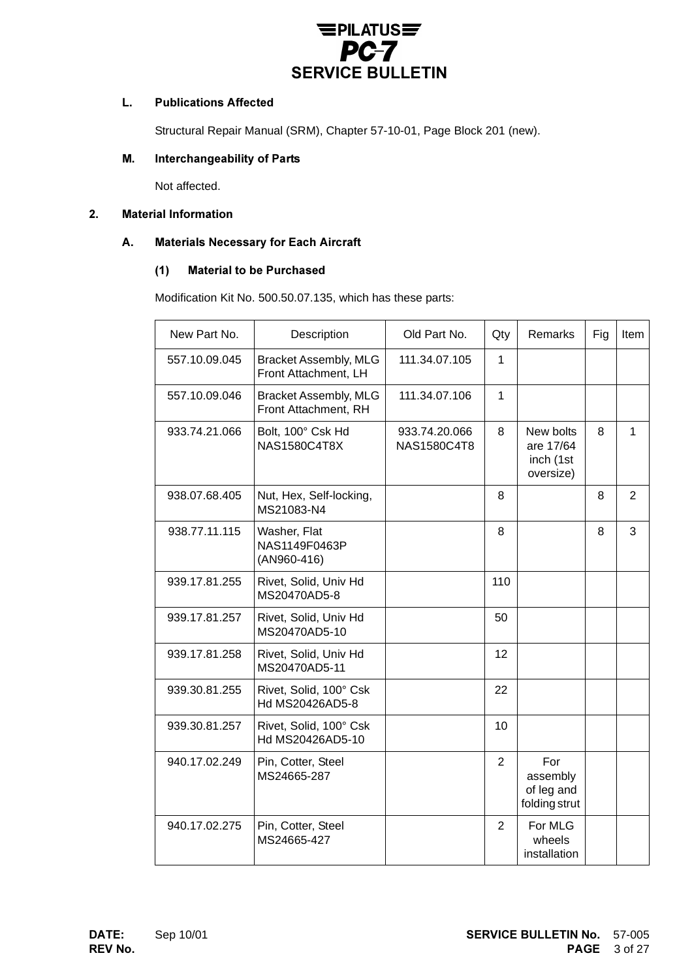

#### L. Publications Affected

Structural Repair Manual (SRM), Chapter 57-10-01, Page Block 201 (new).

### M. Interchangeability of Parts

Not affected.

### 2. Material Information

#### A. . Materials Necessary for Each Aircraft

#### (1) Material to be Purchased

Modification Kit No. 500.50.07.135, which has these parts:

| New Part No.  | Description                                          | Old Part No.                 | Qty             | Remarks                                          | Fig | Item           |
|---------------|------------------------------------------------------|------------------------------|-----------------|--------------------------------------------------|-----|----------------|
| 557.10.09.045 | <b>Bracket Assembly, MLG</b><br>Front Attachment, LH | 111.34.07.105                | $\mathbf{1}$    |                                                  |     |                |
| 557.10.09.046 | <b>Bracket Assembly, MLG</b><br>Front Attachment, RH | 111.34.07.106                | $\mathbf{1}$    |                                                  |     |                |
| 933.74.21.066 | Bolt, 100° Csk Hd<br><b>NAS1580C4T8X</b>             | 933.74.20.066<br>NAS1580C4T8 | 8               | New bolts<br>are 17/64<br>inch (1st<br>oversize) | 8   | 1              |
| 938.07.68.405 | Nut, Hex, Self-locking,<br>MS21083-N4                |                              | 8               |                                                  | 8   | $\overline{2}$ |
| 938.77.11.115 | Washer, Flat<br>NAS1149F0463P<br>(AN960-416)         |                              | 8               |                                                  | 8   | 3              |
| 939.17.81.255 | Rivet, Solid, Univ Hd<br>MS20470AD5-8                |                              | 110             |                                                  |     |                |
| 939.17.81.257 | Rivet, Solid, Univ Hd<br>MS20470AD5-10               |                              | 50              |                                                  |     |                |
| 939.17.81.258 | Rivet, Solid, Univ Hd<br>MS20470AD5-11               |                              | 12 <sup>2</sup> |                                                  |     |                |
| 939.30.81.255 | Rivet, Solid, 100° Csk<br>Hd MS20426AD5-8            |                              | 22              |                                                  |     |                |
| 939.30.81.257 | Rivet, Solid, 100° Csk<br>Hd MS20426AD5-10           |                              | 10 <sup>1</sup> |                                                  |     |                |
| 940.17.02.249 | Pin, Cotter, Steel<br>MS24665-287                    |                              | $\overline{2}$  | For<br>assembly<br>of leg and<br>folding strut   |     |                |
| 940.17.02.275 | Pin, Cotter, Steel<br>MS24665-427                    |                              | 2               | For MLG<br>wheels<br>installation                |     |                |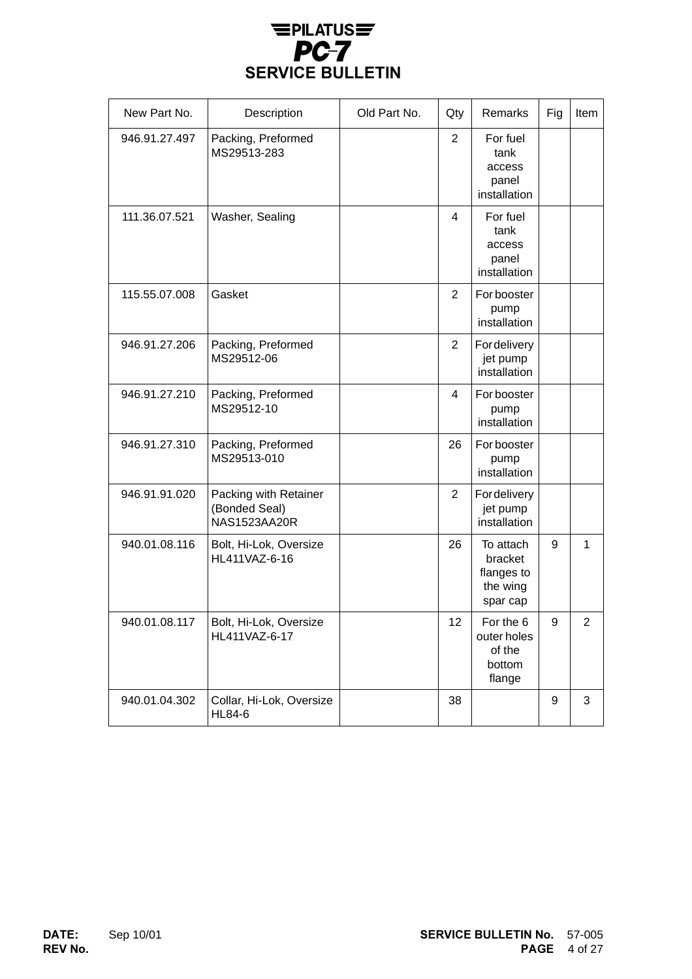

| New Part No.  | Description                                                   | Old Part No. | Qty            | Remarks                                                    | Fig | Item           |
|---------------|---------------------------------------------------------------|--------------|----------------|------------------------------------------------------------|-----|----------------|
| 946.91.27.497 | Packing, Preformed<br>MS29513-283                             |              | 2              | For fuel<br>tank<br>access<br>panel<br>installation        |     |                |
| 111.36.07.521 | Washer, Sealing                                               |              | 4              | For fuel<br>tank<br>access<br>panel<br>installation        |     |                |
| 115.55.07.008 | Gasket                                                        |              | $\overline{2}$ | For booster<br>pump<br>installation                        |     |                |
| 946.91.27.206 | Packing, Preformed<br>MS29512-06                              |              | $\overline{2}$ | <b>Fordelivery</b><br>jet pump<br>installation             |     |                |
| 946.91.27.210 | Packing, Preformed<br>MS29512-10                              |              | 4              | For booster<br>pump<br>installation                        |     |                |
| 946.91.27.310 | Packing, Preformed<br>MS29513-010                             |              | 26             | For booster<br>pump<br>installation                        |     |                |
| 946.91.91.020 | Packing with Retainer<br>(Bonded Seal)<br><b>NAS1523AA20R</b> |              | $\overline{2}$ | Fordelivery<br>jet pump<br>installation                    |     |                |
| 940.01.08.116 | Bolt, Hi-Lok, Oversize<br>HL411VAZ-6-16                       |              | 26             | To attach<br>bracket<br>flanges to<br>the wing<br>spar cap | 9   | $\mathbf{1}$   |
| 940.01.08.117 | Bolt, Hi-Lok, Oversize<br>HL411VAZ-6-17                       |              | 12             | For the 6<br>outer holes<br>of the<br>bottom<br>flange     | 9   | $\overline{c}$ |
| 940.01.04.302 | Collar, Hi-Lok, Oversize<br><b>HL84-6</b>                     |              | 38             |                                                            | 9   | 3              |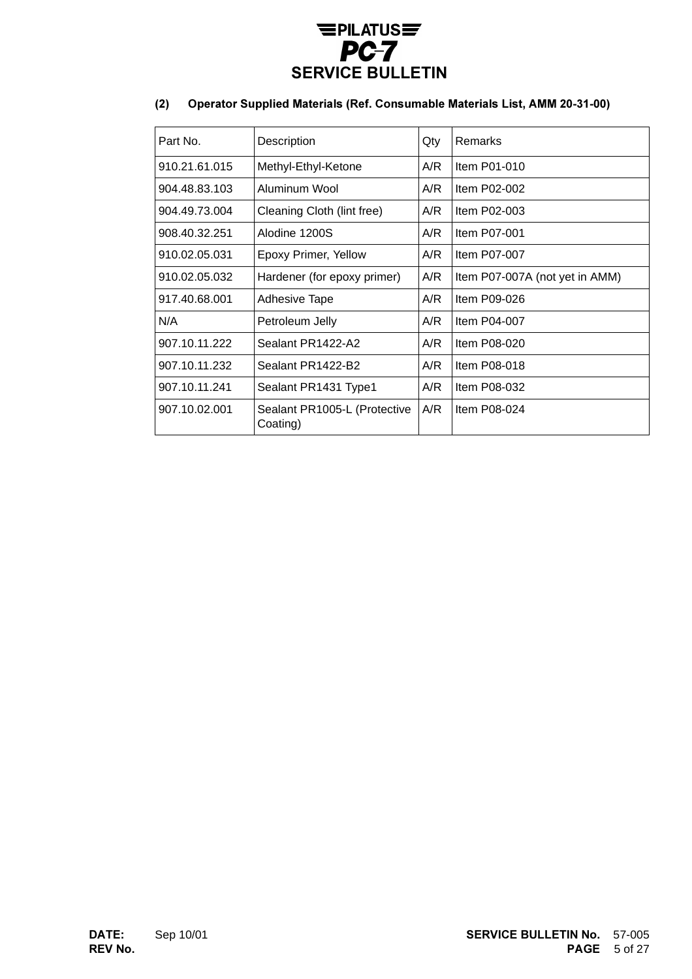

### (2) Operator Supplied Materials (Ref. Consumable Materials List, AMM 20-31-00)

| Part No.      | Description                              | Qty | <b>Remarks</b>                 |
|---------------|------------------------------------------|-----|--------------------------------|
| 910.21.61.015 | Methyl-Ethyl-Ketone                      | A/R | Item $P01-010$                 |
| 904.48.83.103 | Aluminum Wool                            | A/R | Item P02-002                   |
| 904.49.73.004 | Cleaning Cloth (lint free)               | A/R | Item P02-003                   |
| 908.40.32.251 | Alodine 1200S                            | A/R | Item P07-001                   |
| 910.02.05.031 | Epoxy Primer, Yellow                     | A/R | Item P07-007                   |
| 910.02.05.032 | Hardener (for epoxy primer)              | A/R | Item P07-007A (not yet in AMM) |
| 917.40.68.001 | <b>Adhesive Tape</b>                     | A/R | Item P09-026                   |
| N/A           | Petroleum Jelly                          | A/R | Item P04-007                   |
| 907.10.11.222 | Sealant PR1422-A2                        | A/R | Item P08-020                   |
| 907.10.11.232 | Sealant PR1422-B2                        | A/R | Item P08-018                   |
| 907.10.11.241 | Sealant PR1431 Type1                     | A/R | Item P08-032                   |
| 907.10.02.001 | Sealant PR1005-L (Protective<br>Coating) | A/R | Item P08-024                   |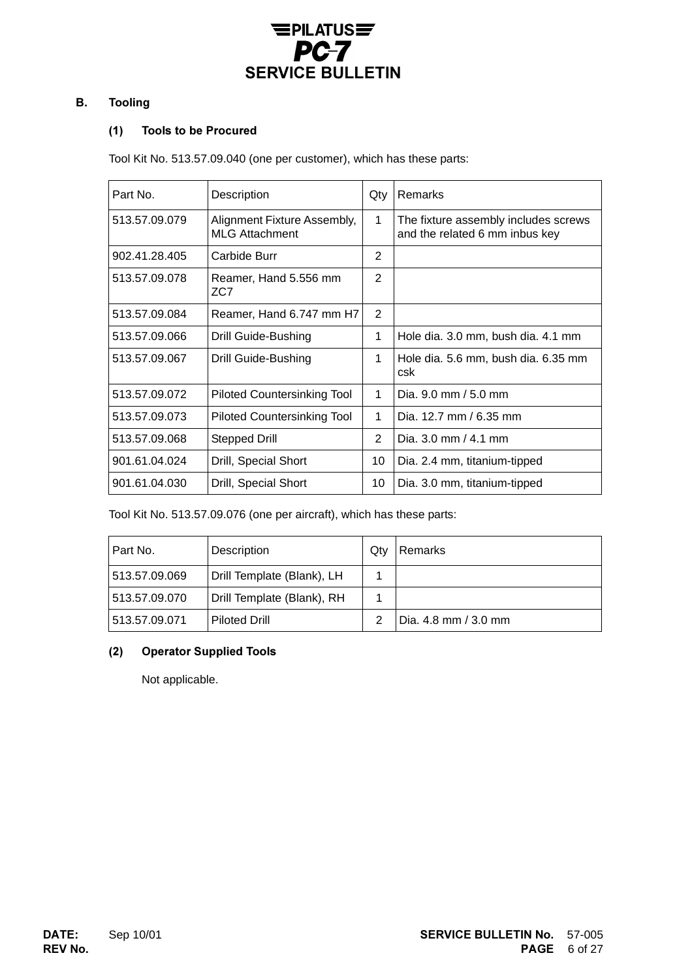

### **B.** Tooling

### (1) Tools to be Procured

Tool Kit No. 513.57.09.040 (one per customer), which has these parts:

| Part No.      | Description                                          | Qty            | <b>Remarks</b>                                                         |
|---------------|------------------------------------------------------|----------------|------------------------------------------------------------------------|
| 513.57.09.079 | Alignment Fixture Assembly,<br><b>MLG Attachment</b> | 1              | The fixture assembly includes screws<br>and the related 6 mm inbus key |
| 902.41.28.405 | Carbide Burr                                         | $\overline{2}$ |                                                                        |
| 513.57.09.078 | Reamer, Hand 5.556 mm<br>ZC7                         | 2              |                                                                        |
| 513.57.09.084 | Reamer, Hand 6.747 mm H7                             | 2              |                                                                        |
| 513.57.09.066 | Drill Guide-Bushing                                  | 1              | Hole dia. 3.0 mm, bush dia. 4.1 mm                                     |
| 513.57.09.067 | <b>Drill Guide-Bushing</b>                           | 1              | Hole dia. 5.6 mm, bush dia. 6.35 mm<br>csk                             |
| 513.57.09.072 | <b>Piloted Countersinking Tool</b>                   | 1              | Dia. $9.0 \text{ mm} / 5.0 \text{ mm}$                                 |
| 513.57.09.073 | <b>Piloted Countersinking Tool</b>                   | 1              | Dia. 12.7 mm / 6.35 mm                                                 |
| 513.57.09.068 | Stepped Drill                                        | 2              | Dia. 3.0 mm / 4.1 mm                                                   |
| 901.61.04.024 | Drill, Special Short                                 | 10             | Dia. 2.4 mm, titanium-tipped                                           |
| 901.61.04.030 | Drill, Special Short                                 | 10             | Dia. 3.0 mm, titanium-tipped                                           |

Tool Kit No. 513.57.09.076 (one per aircraft), which has these parts:

| Part No.      | Description                | Qtv | Remarks              |
|---------------|----------------------------|-----|----------------------|
| 513.57.09.069 | Drill Template (Blank), LH |     |                      |
| 513.57.09.070 | Drill Template (Blank), RH |     |                      |
| 513.57.09.071 | <b>Piloted Drill</b>       |     | Dia. 4.8 mm / 3.0 mm |

### (2) Operator Supplied Tools

Not applicable.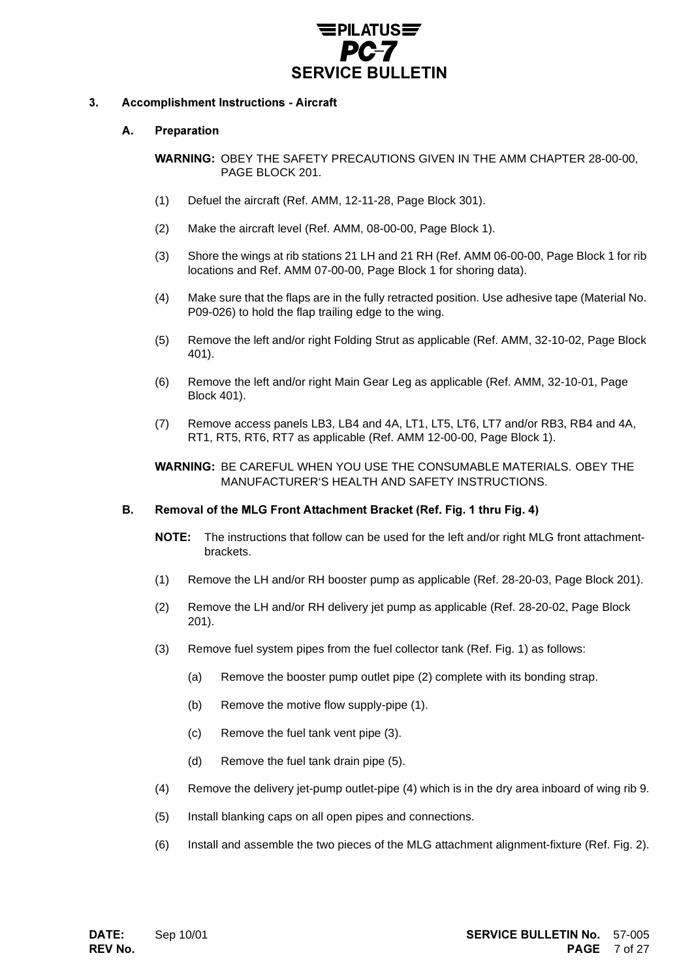

#### $3.$ ccomplishment Instructions - Aircraft

#### Α. **Preparation**

WARNING: OBEY THE SAFETY PRECAUTIONS GIVEN IN THE AMM CHAPTER 28-00-00, PAGE BLOCK 201.

- (1) Defuel the aircraft (Ref. AMM, 12-11-28, Page Block 301).
- (2) Make the aircraft level (Ref. AMM, 08-00-00, Page Block 1).
- (3) Shore the wings at rib stations 21 LH and 21 RH (Ref. AMM 06-00-00, Page Block 1 for rib locations and Ref. AMM 07-00-00, Page Block 1 for shoring data).
- (4) Make sure that the flaps are in the fully retracted position. Use adhesive tape (Material No. P09-026) to hold the flap trailing edge to the wing.
- (5) Remove the left and/or right Folding Strut as applicable (Ref. AMM, 32-10-02, Page Block 401).
- (6) Remove the left and/or right Main Gear Leg as applicable (Ref. AMM, 32-10-01, Page Block 401).
- (7) Remove access panels LB3, LB4 and 4A, LT1, LT5, LT6, LT7 and/or RB3, RB4 and 4A, RT1, RT5, RT6, RT7 as applicable (Ref. AMM 12-00-00, Page Block 1).

WARNING: BE CAREFUL WHEN YOU USE THE CONSUMABLE MATERIALS. OBEY THE MANUFACTURER'S HEALTH AND SAFETY INSTRUCTIONS.

#### B. Removal of the MLG Front Attachment Bracket (Ref. Fig. 1 thru Fig. 4)

- NOTE: The instructions that follow can be used for the left and/or right MLG front attachmentbrackets.
- (1) Remove the LH and/or RH booster pump as applicable (Ref. 28-20-03, Page Block 201).
- (2) Remove the LH and/or RH delivery jet pump as applicable (Ref. 28-20-02, Page Block 201).
- (3) Remove fuel system pipes from the fuel collector tank (Ref. Fig. 1) as follows:
	- (a) Remove the booster pump outlet pipe (2) complete with its bonding strap.
	- (b) Remove the motive flow supply-pipe (1).
	- (c) Remove the fuel tank vent pipe (3).
	- (d) Remove the fuel tank drain pipe (5).
- (4) Remove the delivery jet-pump outlet-pipe (4) which is in the dry area inboard of wing rib 9.
- (5) Install blanking caps on all open pipes and connections.
- (6) Install and assemble the two pieces of the MLG attachment alignment-fixture (Ref. Fig. 2).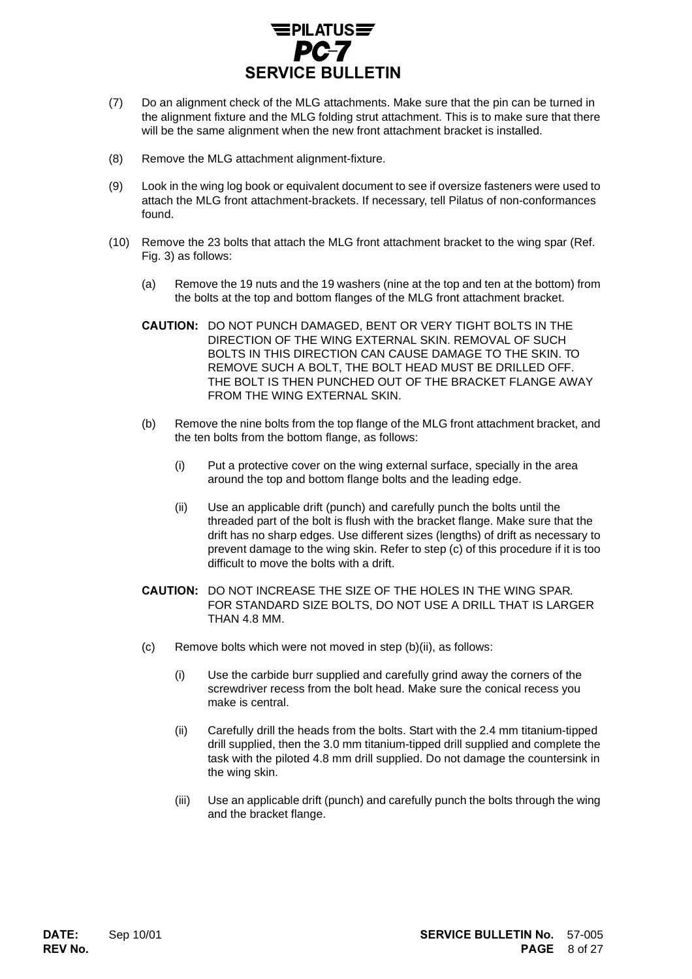

- (7) Do an alignment check of the MLG attachments. Make sure that the pin can be turned in the alignment fixture and the MLG folding strut attachment. This is to make sure that there will be the same alignment when the new front attachment bracket is installed.
- (8) Remove the MLG attachment alignment-fixture.
- (9) Look in the wing log book or equivalent document to see if oversize fasteners were used to attach the MLG front attachment-brackets. If necessary, tell Pilatus of non-conformances found.
- (10) Remove the 23 bolts that attach the MLG front attachment bracket to the wing spar (Ref. Fig. 3) as follows:
	- (a) Remove the 19 nuts and the 19 washers (nine at the top and ten at the bottom) from the bolts at the top and bottom flanges of the MLG front attachment bracket.
	- CAUTION: DO NOT PUNCH DAMAGED, BENT OR VERY TIGHT BOLTS IN THE DIRECTION OF THE WING EXTERNAL SKIN. REMOVAL OF SUCH BOLTS IN THIS DIRECTION CAN CAUSE DAMAGE TO THE SKIN. TO REMOVE SUCH A BOLT, THE BOLT HEAD MUST BE DRILLED OFF. THE BOLT IS THEN PUNCHED OUT OF THE BRACKET FLANGE AWAY FROM THE WING EXTERNAL SKIN.
	- (b) Remove the nine bolts from the top flange of the MLG front attachment bracket, and the ten bolts from the bottom flange, as follows:
		- (i) Put a protective cover on the wing external surface, specially in the area around the top and bottom flange bolts and the leading edge.
		- (ii) Use an applicable drift (punch) and carefully punch the bolts until the threaded part of the bolt is flush with the bracket flange. Make sure that the drift has no sharp edges. Use different sizes (lengths) of drift as necessary to prevent damage to the wing skin. Refer to step (c) of this procedure if it is too difficult to move the bolts with a drift.
	- CAUTION: DO NOT INCREASE THE SIZE OF THE HOLES IN THE WING SPAR. FOR STANDARD SIZE BOLTS, DO NOT USE A DRILL THAT IS LARGER THAN 4.8 MM.
	- (c) Remove bolts which were not moved in step (b)(ii), as follows:
		- (i) Use the carbide burr supplied and carefully grind away the corners of the screwdriver recess from the bolt head. Make sure the conical recess you make is central.
		- (ii) Carefully drill the heads from the bolts. Start with the 2.4 mm titanium-tipped drill supplied, then the 3.0 mm titanium-tipped drill supplied and complete the task with the piloted 4.8 mm drill supplied. Do not damage the countersink in the wing skin.
		- (iii) Use an applicable drift (punch) and carefully punch the bolts through the wing and the bracket flange.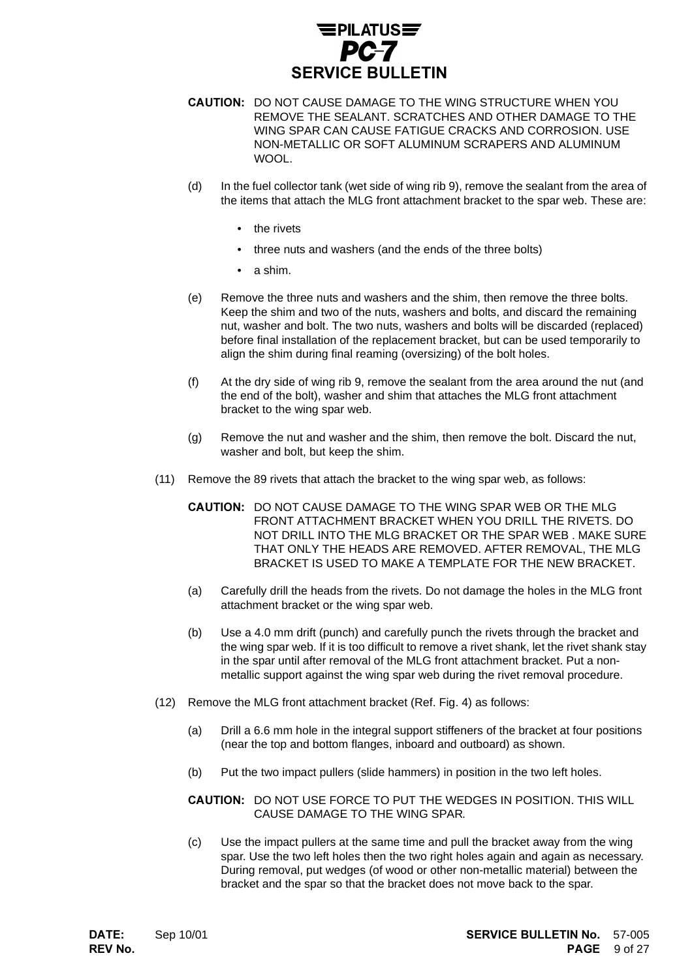

- CAUTION: DO NOT CAUSE DAMAGE TO THE WING STRUCTURE WHEN YOU REMOVE THE SEALANT. SCRATCHES AND OTHER DAMAGE TO THE WING SPAR CAN CAUSE FATIGUE CRACKS AND CORROSION. USE NON-METALLIC OR SOFT ALUMINUM SCRAPERS AND ALUMINUM WOOL.
- (d) In the fuel collector tank (wet side of wing rib 9), remove the sealant from the area of the items that attach the MLG front attachment bracket to the spar web. These are:
	- the rivets
	- three nuts and washers (and the ends of the three bolts)
	- a shim.
- (e) Remove the three nuts and washers and the shim, then remove the three bolts. Keep the shim and two of the nuts, washers and bolts, and discard the remaining nut, washer and bolt. The two nuts, washers and bolts will be discarded (replaced) before final installation of the replacement bracket, but can be used temporarily to align the shim during final reaming (oversizing) of the bolt holes.
- (f) At the dry side of wing rib 9, remove the sealant from the area around the nut (and the end of the bolt), washer and shim that attaches the MLG front attachment bracket to the wing spar web.
- (g) Remove the nut and washer and the shim, then remove the bolt. Discard the nut, washer and bolt, but keep the shim.
- (11) Remove the 89 rivets that attach the bracket to the wing spar web, as follows:
	- CAUTION: DO NOT CAUSE DAMAGE TO THE WING SPAR WEB OR THE MLG FRONT ATTACHMENT BRACKET WHEN YOU DRILL THE RIVETS. DO NOT DRILL INTO THE MLG BRACKET OR THE SPAR WEB . MAKE SURE THAT ONLY THE HEADS ARE REMOVED. AFTER REMOVAL, THE MLG BRACKET IS USED TO MAKE A TEMPLATE FOR THE NEW BRACKET.
	- (a) Carefully drill the heads from the rivets. Do not damage the holes in the MLG front attachment bracket or the wing spar web.
	- (b) Use a 4.0 mm drift (punch) and carefully punch the rivets through the bracket and the wing spar web. If it is too difficult to remove a rivet shank, let the rivet shank stay in the spar until after removal of the MLG front attachment bracket. Put a nonmetallic support against the wing spar web during the rivet removal procedure.
- (12) Remove the MLG front attachment bracket (Ref. Fig. 4) as follows:
	- (a) Drill a 6.6 mm hole in the integral support stiffeners of the bracket at four positions (near the top and bottom flanges, inboard and outboard) as shown.
	- (b) Put the two impact pullers (slide hammers) in position in the two left holes.

#### CAUTION: DO NOT USE FORCE TO PUT THE WEDGES IN POSITION. THIS WILL CAUSE DAMAGE TO THE WING SPAR.

(c) Use the impact pullers at the same time and pull the bracket away from the wing spar. Use the two left holes then the two right holes again and again as necessary. During removal, put wedges (of wood or other non-metallic material) between the bracket and the spar so that the bracket does not move back to the spar.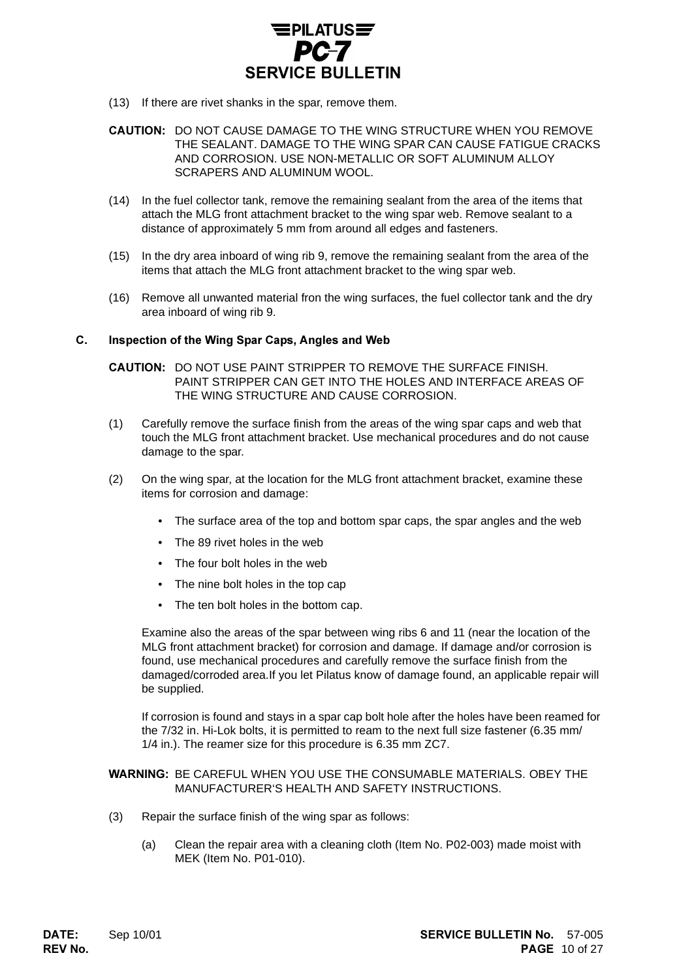

(13) If there are rivet shanks in the spar, remove them.

#### CAUTION: DO NOT CAUSE DAMAGE TO THE WING STRUCTURE WHEN YOU REMOVE THE SEALANT. DAMAGE TO THE WING SPAR CAN CAUSE FATIGUE CRACKS AND CORROSION. USE NON-METALLIC OR SOFT ALUMINUM ALLOY SCRAPERS AND ALUMINUM WOOL.

- (14) In the fuel collector tank, remove the remaining sealant from the area of the items that attach the MLG front attachment bracket to the wing spar web. Remove sealant to a distance of approximately 5 mm from around all edges and fasteners.
- (15) In the dry area inboard of wing rib 9, remove the remaining sealant from the area of the items that attach the MLG front attachment bracket to the wing spar web.
- (16) Remove all unwanted material fron the wing surfaces, the fuel collector tank and the dry area inboard of wing rib 9.

#### C. . Inspection of the Wing Spar Caps, Angles and Web

CAUTION: DO NOT USE PAINT STRIPPER TO REMOVE THE SURFACE FINISH. PAINT STRIPPER CAN GET INTO THE HOLES AND INTERFACE AREAS OF THE WING STRUCTURE AND CAUSE CORROSION.

- (1) Carefully remove the surface finish from the areas of the wing spar caps and web that touch the MLG front attachment bracket. Use mechanical procedures and do not cause damage to the spar.
- (2) On the wing spar, at the location for the MLG front attachment bracket, examine these items for corrosion and damage:
	- The surface area of the top and bottom spar caps, the spar angles and the web
	- The 89 rivet holes in the web
	- The four bolt holes in the web
	- The nine bolt holes in the top cap
	- The ten bolt holes in the bottom cap.

Examine also the areas of the spar between wing ribs 6 and 11 (near the location of the MLG front attachment bracket) for corrosion and damage. If damage and/or corrosion is found, use mechanical procedures and carefully remove the surface finish from the damaged/corroded area.If you let Pilatus know of damage found, an applicable repair will be supplied.

If corrosion is found and stays in a spar cap bolt hole after the holes have been reamed for the 7/32 in. Hi-Lok bolts, it is permitted to ream to the next full size fastener (6.35 mm/ 1/4 in.). The reamer size for this procedure is 6.35 mm ZC7.

#### WARNING: BE CAREFUL WHEN YOU USE THE CONSUMABLE MATERIALS. OBEY THE MANUFACTURER'S HEALTH AND SAFETY INSTRUCTIONS.

- (3) Repair the surface finish of the wing spar as follows:
	- (a) Clean the repair area with a cleaning cloth (Item No. P02-003) made moist with MEK (Item No. P01-010).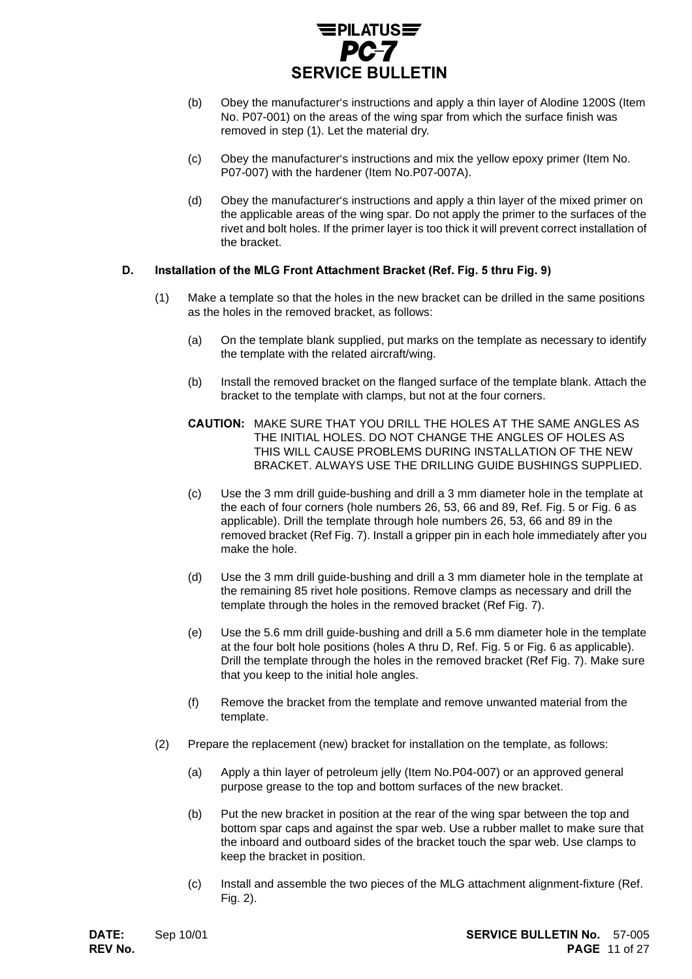

- (b) Obey the manufacturer's instructions and apply a thin layer of Alodine 1200S (Item No. P07-001) on the areas of the wing spar from which the surface finish was removed in step (1). Let the material dry.
- (c) Obey the manufacturer's instructions and mix the yellow epoxy primer (Item No. P07-007) with the hardener (Item No.P07-007A).
- (d) Obey the manufacturer's instructions and apply a thin layer of the mixed primer on the applicable areas of the wing spar. Do not apply the primer to the surfaces of the rivet and bolt holes. If the primer layer is too thick it will prevent correct installation of the bracket.

#### D. Installation of the MLG Front Attachment Bracket (Ref. Fig. 5 thru Fig. 9)

- (1) Make a template so that the holes in the new bracket can be drilled in the same positions as the holes in the removed bracket, as follows:
	- (a) On the template blank supplied, put marks on the template as necessary to identify the template with the related aircraft/wing.
	- (b) Install the removed bracket on the flanged surface of the template blank. Attach the bracket to the template with clamps, but not at the four corners.
	- CAUTION: MAKE SURE THAT YOU DRILL THE HOLES AT THE SAME ANGLES AS THE INITIAL HOLES. DO NOT CHANGE THE ANGLES OF HOLES AS THIS WILL CAUSE PROBLEMS DURING INSTALLATION OF THE NEW BRACKET. ALWAYS USE THE DRILLING GUIDE BUSHINGS SUPPLIED.
	- (c) Use the 3 mm drill guide-bushing and drill a 3 mm diameter hole in the template at the each of four corners (hole numbers 26, 53, 66 and 89, Ref. Fig. 5 or Fig. 6 as applicable). Drill the template through hole numbers 26, 53, 66 and 89 in the removed bracket (Ref Fig. 7). Install a gripper pin in each hole immediately after you make the hole.
	- (d) Use the 3 mm drill guide-bushing and drill a 3 mm diameter hole in the template at the remaining 85 rivet hole positions. Remove clamps as necessary and drill the template through the holes in the removed bracket (Ref Fig. 7).
	- (e) Use the 5.6 mm drill guide-bushing and drill a 5.6 mm diameter hole in the template at the four bolt hole positions (holes A thru D, Ref. Fig. 5 or Fig. 6 as applicable). Drill the template through the holes in the removed bracket (Ref Fig. 7). Make sure that you keep to the initial hole angles.
	- (f) Remove the bracket from the template and remove unwanted material from the template.
- (2) Prepare the replacement (new) bracket for installation on the template, as follows:
	- (a) Apply a thin layer of petroleum jelly (Item No.P04-007) or an approved general purpose grease to the top and bottom surfaces of the new bracket.
	- (b) Put the new bracket in position at the rear of the wing spar between the top and bottom spar caps and against the spar web. Use a rubber mallet to make sure that the inboard and outboard sides of the bracket touch the spar web. Use clamps to keep the bracket in position.
	- (c) Install and assemble the two pieces of the MLG attachment alignment-fixture (Ref. Fig. 2).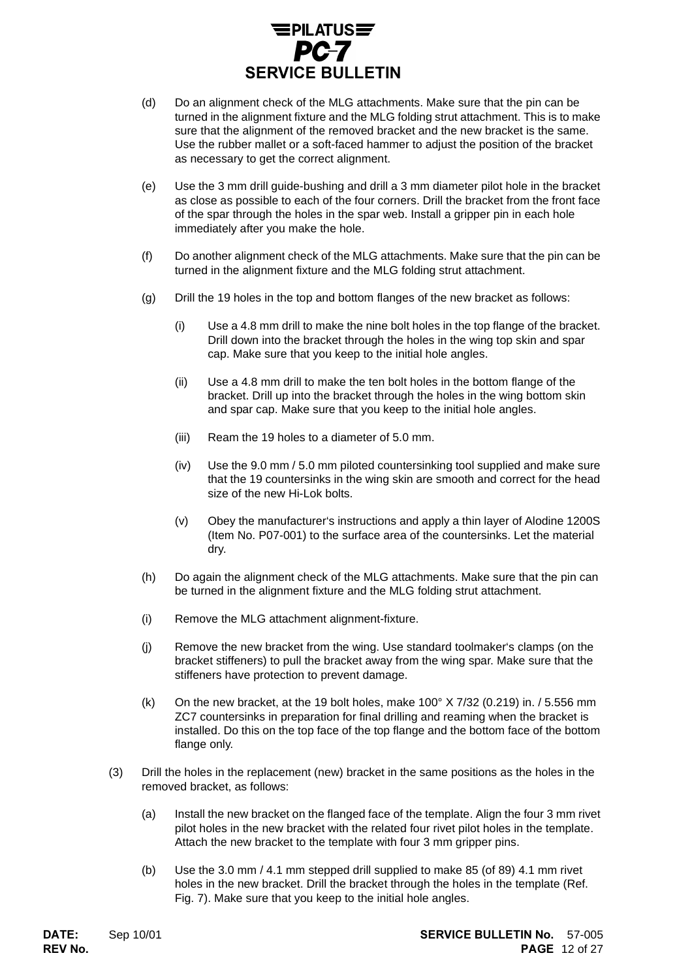

- (d) Do an alignment check of the MLG attachments. Make sure that the pin can be turned in the alignment fixture and the MLG folding strut attachment. This is to make sure that the alignment of the removed bracket and the new bracket is the same. Use the rubber mallet or a soft-faced hammer to adjust the position of the bracket as necessary to get the correct alignment.
- (e) Use the 3 mm drill guide-bushing and drill a 3 mm diameter pilot hole in the bracket as close as possible to each of the four corners. Drill the bracket from the front face of the spar through the holes in the spar web. Install a gripper pin in each hole immediately after you make the hole.
- (f) Do another alignment check of the MLG attachments. Make sure that the pin can be turned in the alignment fixture and the MLG folding strut attachment.
- (g) Drill the 19 holes in the top and bottom flanges of the new bracket as follows:
	- (i) Use a 4.8 mm drill to make the nine bolt holes in the top flange of the bracket. Drill down into the bracket through the holes in the wing top skin and spar cap. Make sure that you keep to the initial hole angles.
	- (ii) Use a 4.8 mm drill to make the ten bolt holes in the bottom flange of the bracket. Drill up into the bracket through the holes in the wing bottom skin and spar cap. Make sure that you keep to the initial hole angles.
	- (iii) Ream the 19 holes to a diameter of 5.0 mm.
	- (iv) Use the 9.0 mm / 5.0 mm piloted countersinking tool supplied and make sure that the 19 countersinks in the wing skin are smooth and correct for the head size of the new Hi-Lok bolts.
	- (v) Obey the manufacturer's instructions and apply a thin layer of Alodine 1200S (Item No. P07-001) to the surface area of the countersinks. Let the material dry.
- (h) Do again the alignment check of the MLG attachments. Make sure that the pin can be turned in the alignment fixture and the MLG folding strut attachment.
- (i) Remove the MLG attachment alignment-fixture.
- (j) Remove the new bracket from the wing. Use standard toolmaker's clamps (on the bracket stiffeners) to pull the bracket away from the wing spar. Make sure that the stiffeners have protection to prevent damage.
- (k) On the new bracket, at the 19 bolt holes, make 100° X 7/32 (0.219) in. / 5.556 mm ZC7 countersinks in preparation for final drilling and reaming when the bracket is installed. Do this on the top face of the top flange and the bottom face of the bottom flange only.
- (3) Drill the holes in the replacement (new) bracket in the same positions as the holes in the removed bracket, as follows:
	- (a) Install the new bracket on the flanged face of the template. Align the four 3 mm rivet pilot holes in the new bracket with the related four rivet pilot holes in the template. Attach the new bracket to the template with four 3 mm gripper pins.
	- (b) Use the 3.0 mm / 4.1 mm stepped drill supplied to make 85 (of 89) 4.1 mm rivet holes in the new bracket. Drill the bracket through the holes in the template (Ref. Fig. 7). Make sure that you keep to the initial hole angles.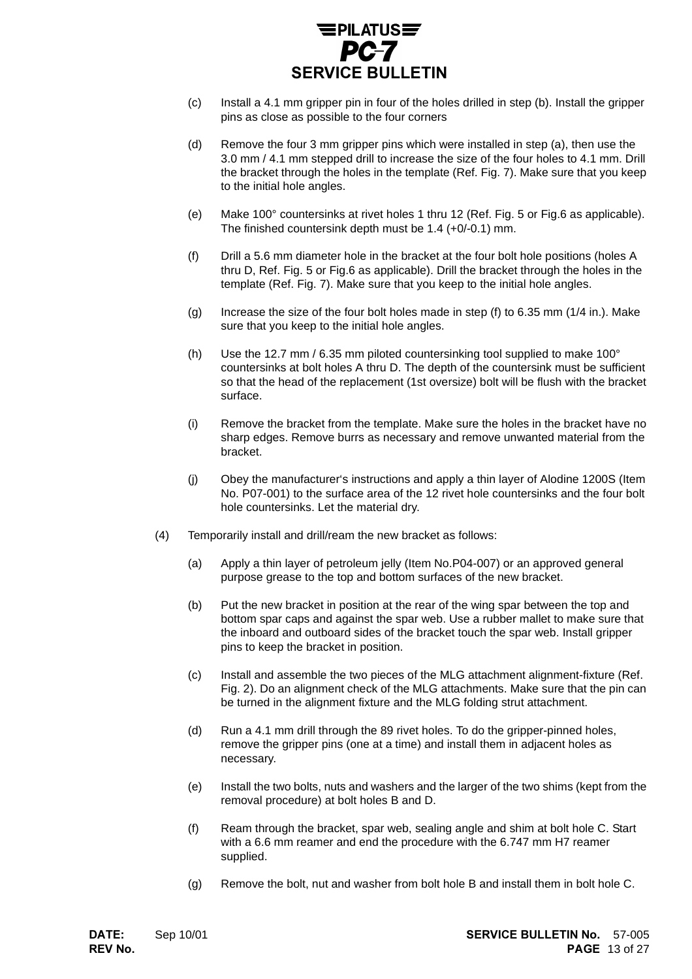

- (c) Install a 4.1 mm gripper pin in four of the holes drilled in step (b). Install the gripper pins as close as possible to the four corners
- (d) Remove the four 3 mm gripper pins which were installed in step (a), then use the 3.0 mm / 4.1 mm stepped drill to increase the size of the four holes to 4.1 mm. Drill the bracket through the holes in the template (Ref. Fig. 7). Make sure that you keep to the initial hole angles.
- (e) Make 100° countersinks at rivet holes 1 thru 12 (Ref. Fig. 5 or Fig.6 as applicable). The finished countersink depth must be 1.4 (+0/-0.1) mm.
- (f) Drill a 5.6 mm diameter hole in the bracket at the four bolt hole positions (holes A thru D, Ref. Fig. 5 or Fig.6 as applicable). Drill the bracket through the holes in the template (Ref. Fig. 7). Make sure that you keep to the initial hole angles.
- (g) Increase the size of the four bolt holes made in step (f) to 6.35 mm (1/4 in.). Make sure that you keep to the initial hole angles.
- (h) Use the 12.7 mm / 6.35 mm piloted countersinking tool supplied to make 100 $^{\circ}$ countersinks at bolt holes A thru D. The depth of the countersink must be sufficient so that the head of the replacement (1st oversize) bolt will be flush with the bracket surface.
- (i) Remove the bracket from the template. Make sure the holes in the bracket have no sharp edges. Remove burrs as necessary and remove unwanted material from the bracket.
- (j) Obey the manufacturer's instructions and apply a thin layer of Alodine 1200S (Item No. P07-001) to the surface area of the 12 rivet hole countersinks and the four bolt hole countersinks. Let the material dry.
- (4) Temporarily install and drill/ream the new bracket as follows:
	- (a) Apply a thin layer of petroleum jelly (Item No.P04-007) or an approved general purpose grease to the top and bottom surfaces of the new bracket.
	- (b) Put the new bracket in position at the rear of the wing spar between the top and bottom spar caps and against the spar web. Use a rubber mallet to make sure that the inboard and outboard sides of the bracket touch the spar web. Install gripper pins to keep the bracket in position.
	- (c) Install and assemble the two pieces of the MLG attachment alignment-fixture (Ref. Fig. 2). Do an alignment check of the MLG attachments. Make sure that the pin can be turned in the alignment fixture and the MLG folding strut attachment.
	- (d) Run a 4.1 mm drill through the 89 rivet holes. To do the gripper-pinned holes, remove the gripper pins (one at a time) and install them in adjacent holes as necessary.
	- (e) Install the two bolts, nuts and washers and the larger of the two shims (kept from the removal procedure) at bolt holes B and D.
	- (f) Ream through the bracket, spar web, sealing angle and shim at bolt hole C. Start with a 6.6 mm reamer and end the procedure with the 6.747 mm H7 reamer supplied.
	- (g) Remove the bolt, nut and washer from bolt hole B and install them in bolt hole C.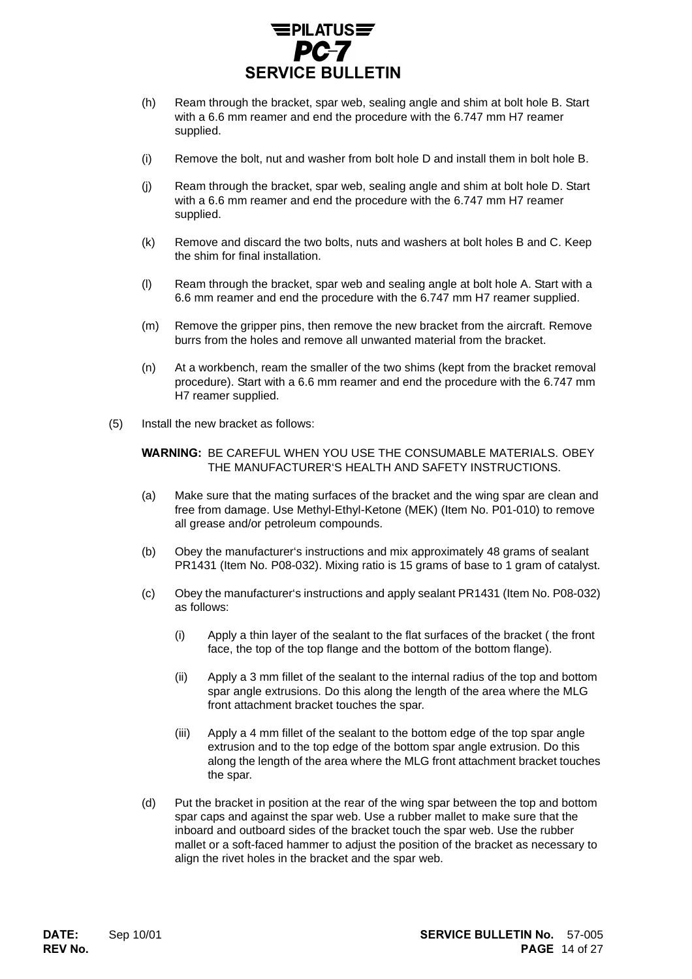

- (h) Ream through the bracket, spar web, sealing angle and shim at bolt hole B. Start with a 6.6 mm reamer and end the procedure with the 6.747 mm H7 reamer supplied.
- (i) Remove the bolt, nut and washer from bolt hole D and install them in bolt hole B.
- (j) Ream through the bracket, spar web, sealing angle and shim at bolt hole D. Start with a 6.6 mm reamer and end the procedure with the 6.747 mm H7 reamer supplied.
- (k) Remove and discard the two bolts, nuts and washers at bolt holes B and C. Keep the shim for final installation.
- (l) Ream through the bracket, spar web and sealing angle at bolt hole A. Start with a 6.6 mm reamer and end the procedure with the 6.747 mm H7 reamer supplied.
- (m) Remove the gripper pins, then remove the new bracket from the aircraft. Remove burrs from the holes and remove all unwanted material from the bracket.
- (n) At a workbench, ream the smaller of the two shims (kept from the bracket removal procedure). Start with a 6.6 mm reamer and end the procedure with the 6.747 mm H7 reamer supplied.
- (5) Install the new bracket as follows:

WARNING: BE CAREFUL WHEN YOU USE THE CONSUMABLE MATERIALS. OBEY THE MANUFACTURER'S HEALTH AND SAFETY INSTRUCTIONS.

- (a) Make sure that the mating surfaces of the bracket and the wing spar are clean and free from damage. Use Methyl-Ethyl-Ketone (MEK) (Item No. P01-010) to remove all grease and/or petroleum compounds.
- (b) Obey the manufacturer's instructions and mix approximately 48 grams of sealant PR1431 (Item No. P08-032). Mixing ratio is 15 grams of base to 1 gram of catalyst.
- (c) Obey the manufacturer's instructions and apply sealant PR1431 (Item No. P08-032) as follows:
	- (i) Apply a thin layer of the sealant to the flat surfaces of the bracket ( the front face, the top of the top flange and the bottom of the bottom flange).
	- (ii) Apply a 3 mm fillet of the sealant to the internal radius of the top and bottom spar angle extrusions. Do this along the length of the area where the MLG front attachment bracket touches the spar.
	- (iii) Apply a 4 mm fillet of the sealant to the bottom edge of the top spar angle extrusion and to the top edge of the bottom spar angle extrusion. Do this along the length of the area where the MLG front attachment bracket touches the spar.
- (d) Put the bracket in position at the rear of the wing spar between the top and bottom spar caps and against the spar web. Use a rubber mallet to make sure that the inboard and outboard sides of the bracket touch the spar web. Use the rubber mallet or a soft-faced hammer to adjust the position of the bracket as necessary to align the rivet holes in the bracket and the spar web.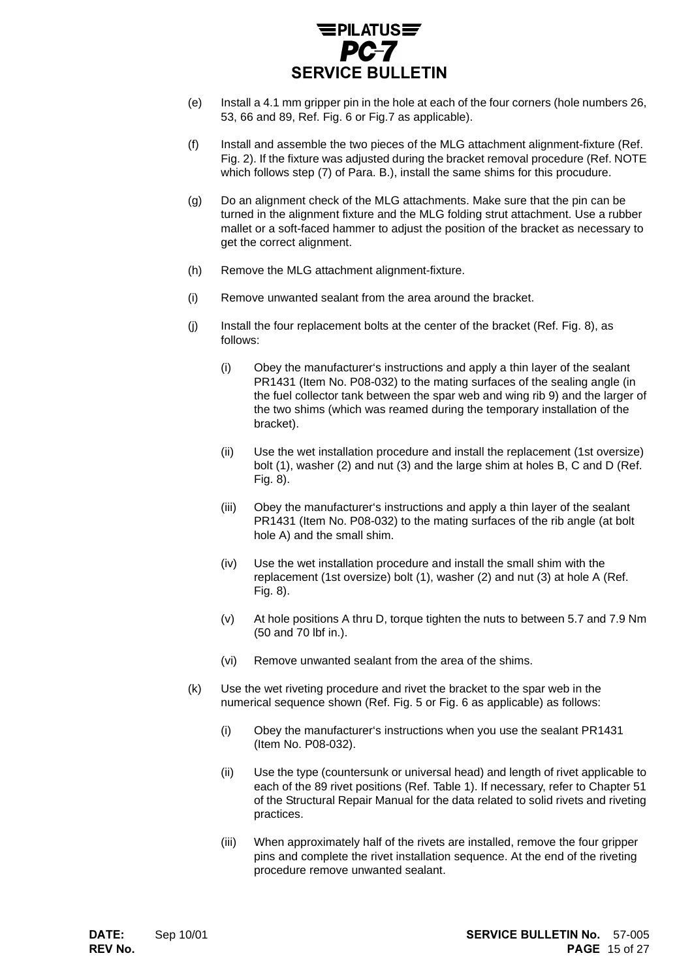

- (e) Install a 4.1 mm gripper pin in the hole at each of the four corners (hole numbers 26, 53, 66 and 89, Ref. Fig. 6 or Fig.7 as applicable).
- (f) Install and assemble the two pieces of the MLG attachment alignment-fixture (Ref. Fig. 2). If the fixture was adjusted during the bracket removal procedure (Ref. NOTE which follows step (7) of Para. B.), install the same shims for this procudure.
- (g) Do an alignment check of the MLG attachments. Make sure that the pin can be turned in the alignment fixture and the MLG folding strut attachment. Use a rubber mallet or a soft-faced hammer to adjust the position of the bracket as necessary to get the correct alignment.
- (h) Remove the MLG attachment alignment-fixture.
- (i) Remove unwanted sealant from the area around the bracket.
- (j) Install the four replacement bolts at the center of the bracket (Ref. Fig. 8), as follows:
	- (i) Obey the manufacturer's instructions and apply a thin layer of the sealant PR1431 (Item No. P08-032) to the mating surfaces of the sealing angle (in the fuel collector tank between the spar web and wing rib 9) and the larger of the two shims (which was reamed during the temporary installation of the bracket).
	- (ii) Use the wet installation procedure and install the replacement (1st oversize) bolt (1), washer (2) and nut (3) and the large shim at holes B, C and D (Ref. Fig. 8).
	- (iii) Obey the manufacturer's instructions and apply a thin layer of the sealant PR1431 (Item No. P08-032) to the mating surfaces of the rib angle (at bolt hole A) and the small shim.
	- (iv) Use the wet installation procedure and install the small shim with the replacement (1st oversize) bolt (1), washer (2) and nut (3) at hole A (Ref. Fig. 8).
	- (v) At hole positions A thru D, torque tighten the nuts to between 5.7 and 7.9 Nm (50 and 70 lbf in.).
	- (vi) Remove unwanted sealant from the area of the shims.
- (k) Use the wet riveting procedure and rivet the bracket to the spar web in the numerical sequence shown (Ref. Fig. 5 or Fig. 6 as applicable) as follows:
	- (i) Obey the manufacturer's instructions when you use the sealant PR1431 (Item No. P08-032).
	- (ii) Use the type (countersunk or universal head) and length of rivet applicable to each of the 89 rivet positions (Ref. Table 1). If necessary, refer to Chapter 51 of the Structural Repair Manual for the data related to solid rivets and riveting practices.
	- (iii) When approximately half of the rivets are installed, remove the four gripper pins and complete the rivet installation sequence. At the end of the riveting procedure remove unwanted sealant.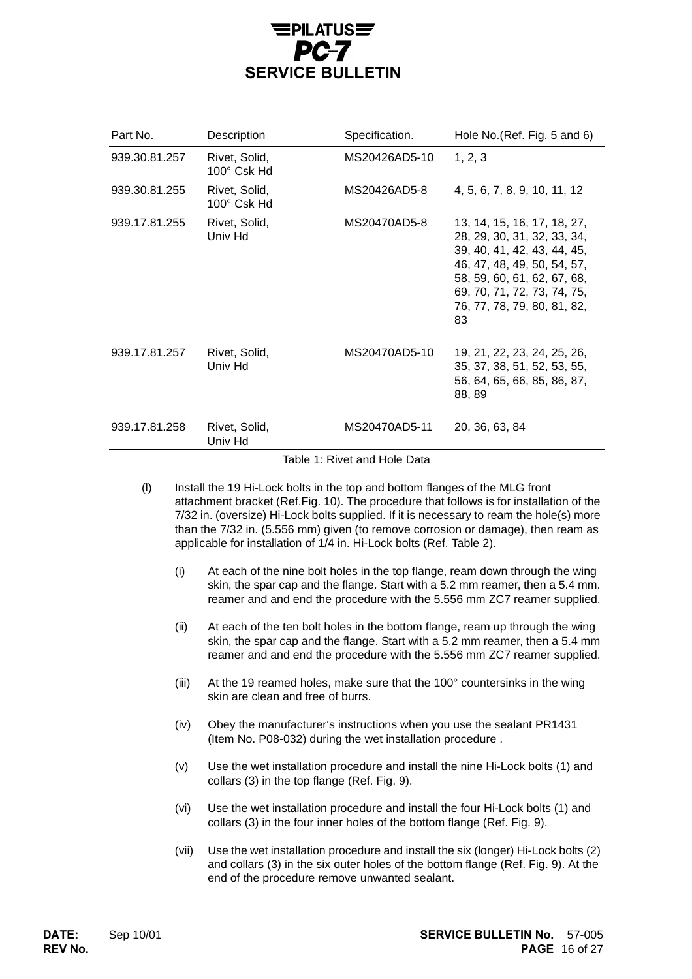### $E$ PILATUS $E$ PC-7 **SERVICE BULLETIN**

| Part No.                                                                                                                                                                                                                                                                                                                                                                                                                             |      | Description                                                                                                                                                                                                                              | Specification.               | Hole No. (Ref. Fig. 5 and 6)                                                                                                                                                                                                            |
|--------------------------------------------------------------------------------------------------------------------------------------------------------------------------------------------------------------------------------------------------------------------------------------------------------------------------------------------------------------------------------------------------------------------------------------|------|------------------------------------------------------------------------------------------------------------------------------------------------------------------------------------------------------------------------------------------|------------------------------|-----------------------------------------------------------------------------------------------------------------------------------------------------------------------------------------------------------------------------------------|
| 939.30.81.257                                                                                                                                                                                                                                                                                                                                                                                                                        |      | Rivet, Solid,<br>100° Csk Hd                                                                                                                                                                                                             | MS20426AD5-10                | 1, 2, 3                                                                                                                                                                                                                                 |
| 939.30.81.255                                                                                                                                                                                                                                                                                                                                                                                                                        |      | Rivet, Solid,<br>100° Csk Hd                                                                                                                                                                                                             | MS20426AD5-8                 | 4, 5, 6, 7, 8, 9, 10, 11, 12                                                                                                                                                                                                            |
| 939.17.81.255                                                                                                                                                                                                                                                                                                                                                                                                                        |      | Rivet, Solid,<br>Univ Hd                                                                                                                                                                                                                 | MS20470AD5-8                 | 13, 14, 15, 16, 17, 18, 27,<br>28, 29, 30, 31, 32, 33, 34,<br>39, 40, 41, 42, 43, 44, 45,<br>46, 47, 48, 49, 50, 54, 57,<br>58, 59, 60, 61, 62, 67, 68,<br>69, 70, 71, 72, 73, 74, 75,<br>76, 77, 78, 79, 80, 81, 82,<br>83             |
| 939.17.81.257                                                                                                                                                                                                                                                                                                                                                                                                                        |      | Rivet, Solid,<br>Univ Hd                                                                                                                                                                                                                 | MS20470AD5-10                | 19, 21, 22, 23, 24, 25, 26,<br>35, 37, 38, 51, 52, 53, 55,<br>56, 64, 65, 66, 85, 86, 87,<br>88, 89                                                                                                                                     |
| 939.17.81.258                                                                                                                                                                                                                                                                                                                                                                                                                        |      | Rivet, Solid,<br>Univ Hd                                                                                                                                                                                                                 | MS20470AD5-11                | 20, 36, 63, 84                                                                                                                                                                                                                          |
|                                                                                                                                                                                                                                                                                                                                                                                                                                      |      |                                                                                                                                                                                                                                          | Table 1: Rivet and Hole Data |                                                                                                                                                                                                                                         |
| (1)<br>Install the 19 Hi-Lock bolts in the top and bottom flanges of the MLG front<br>attachment bracket (Ref.Fig. 10). The procedure that follows is for installation of the<br>7/32 in. (oversize) Hi-Lock bolts supplied. If it is necessary to ream the hole(s) more<br>than the 7/32 in. (5.556 mm) given (to remove corrosion or damage), then ream as<br>applicable for installation of 1/4 in. Hi-Lock bolts (Ref. Table 2). |      |                                                                                                                                                                                                                                          |                              |                                                                                                                                                                                                                                         |
|                                                                                                                                                                                                                                                                                                                                                                                                                                      | (i)  | At each of the nine bolt holes in the top flange, ream down through the wing<br>skin, the spar cap and the flange. Start with a 5.2 mm reamer, then a 5.4 mm.<br>reamer and and end the procedure with the 5.556 mm ZC7 reamer supplied. |                              |                                                                                                                                                                                                                                         |
|                                                                                                                                                                                                                                                                                                                                                                                                                                      | (ii) |                                                                                                                                                                                                                                          |                              | At each of the ten bolt holes in the bottom flange, ream up through the wing<br>skin, the spar cap and the flange. Start with a 5.2 mm reamer, then a 5.4 mm<br>reamer and and end the procedure with the 5.556 mm ZC7 reamer supplied. |

- (iii) At the 19 reamed holes, make sure that the 100° countersinks in the wing skin are clean and free of burrs.
- (iv) Obey the manufacturer's instructions when you use the sealant PR1431 (Item No. P08-032) during the wet installation procedure .
- (v) Use the wet installation procedure and install the nine Hi-Lock bolts (1) and collars (3) in the top flange (Ref. Fig. 9).
- (vi) Use the wet installation procedure and install the four Hi-Lock bolts (1) and collars (3) in the four inner holes of the bottom flange (Ref. Fig. 9).
- (vii) Use the wet installation procedure and install the six (longer) Hi-Lock bolts (2) and collars (3) in the six outer holes of the bottom flange (Ref. Fig. 9). At the end of the procedure remove unwanted sealant.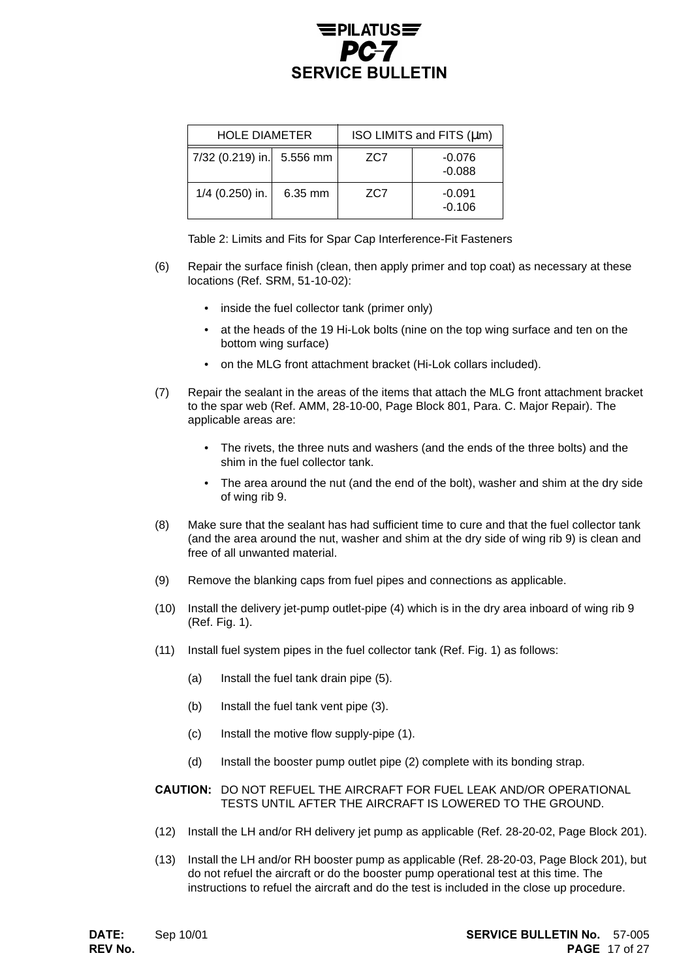## EPILATUS $\equiv$ **SERVICE BULLETIN**

| <b>HOLE DIAMETER</b> |           | ISO LIMITS and FITS (µm) |                      |  |
|----------------------|-----------|--------------------------|----------------------|--|
| 7/32 (0.219) in.     | 5.556 mm  | ZC7                      | $-0.076$<br>$-0.088$ |  |
| $1/4$ (0.250) in.    | $6.35$ mm | ZC <sub>7</sub>          | -0.091<br>$-0.106$   |  |

Table 2: Limits and Fits for Spar Cap Interference-Fit Fasteners

- (6) Repair the surface finish (clean, then apply primer and top coat) as necessary at these locations (Ref. SRM, 51-10-02):
	- inside the fuel collector tank (primer only)
	- at the heads of the 19 Hi-Lok bolts (nine on the top wing surface and ten on the bottom wing surface)
	- on the MLG front attachment bracket (Hi-Lok collars included).
- (7) Repair the sealant in the areas of the items that attach the MLG front attachment bracket to the spar web (Ref. AMM, 28-10-00, Page Block 801, Para. C. Major Repair). The applicable areas are:
	- The rivets, the three nuts and washers (and the ends of the three bolts) and the shim in the fuel collector tank.
	- The area around the nut (and the end of the bolt), washer and shim at the dry side of wing rib 9.
- (8) Make sure that the sealant has had sufficient time to cure and that the fuel collector tank (and the area around the nut, washer and shim at the dry side of wing rib 9) is clean and free of all unwanted material.
- (9) Remove the blanking caps from fuel pipes and connections as applicable.
- (10) Install the delivery jet-pump outlet-pipe (4) which is in the dry area inboard of wing rib 9 (Ref. Fig. 1).
- (11) Install fuel system pipes in the fuel collector tank (Ref. Fig. 1) as follows:
	- (a) Install the fuel tank drain pipe (5).
	- (b) Install the fuel tank vent pipe (3).
	- (c) Install the motive flow supply-pipe (1).
	- (d) Install the booster pump outlet pipe (2) complete with its bonding strap.

#### CAUTION: DO NOT REFUEL THE AIRCRAFT FOR FUEL LEAK AND/OR OPERATIONAL TESTS UNTIL AFTER THE AIRCRAFT IS LOWERED TO THE GROUND.

- (12) Install the LH and/or RH delivery jet pump as applicable (Ref. 28-20-02, Page Block 201).
- (13) Install the LH and/or RH booster pump as applicable (Ref. 28-20-03, Page Block 201), but do not refuel the aircraft or do the booster pump operational test at this time. The instructions to refuel the aircraft and do the test is included in the close up procedure.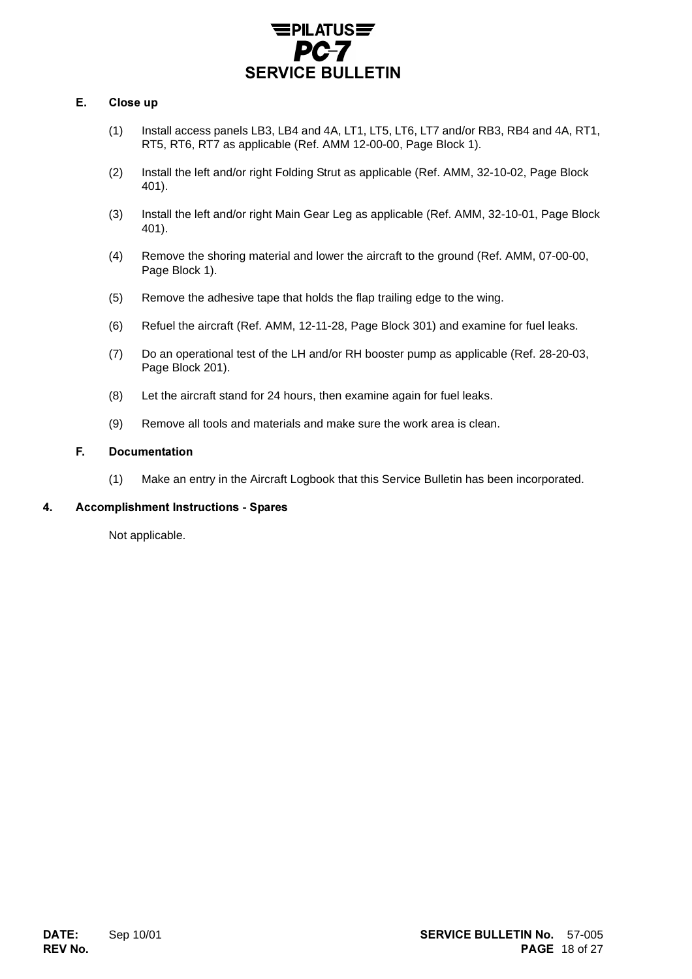

#### E. Close up

- (1) Install access panels LB3, LB4 and 4A, LT1, LT5, LT6, LT7 and/or RB3, RB4 and 4A, RT1, RT5, RT6, RT7 as applicable (Ref. AMM 12-00-00, Page Block 1).
- (2) Install the left and/or right Folding Strut as applicable (Ref. AMM, 32-10-02, Page Block 401).
- (3) Install the left and/or right Main Gear Leg as applicable (Ref. AMM, 32-10-01, Page Block 401).
- (4) Remove the shoring material and lower the aircraft to the ground (Ref. AMM, 07-00-00, Page Block 1).
- (5) Remove the adhesive tape that holds the flap trailing edge to the wing.
- (6) Refuel the aircraft (Ref. AMM, 12-11-28, Page Block 301) and examine for fuel leaks.
- (7) Do an operational test of the LH and/or RH booster pump as applicable (Ref. 28-20-03, Page Block 201).
- (8) Let the aircraft stand for 24 hours, then examine again for fuel leaks.
- (9) Remove all tools and materials and make sure the work area is clean.

### F. Documentation

(1) Make an entry in the Aircraft Logbook that this Service Bulletin has been incorporated.

#### 4. Accomplishment Instructions - Spares

Not applicable.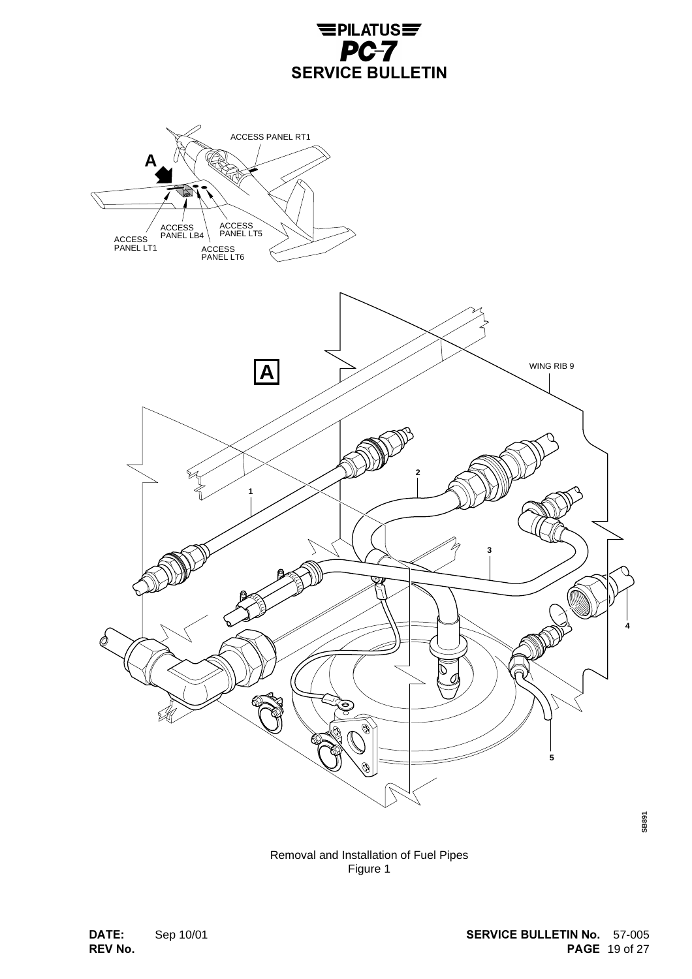

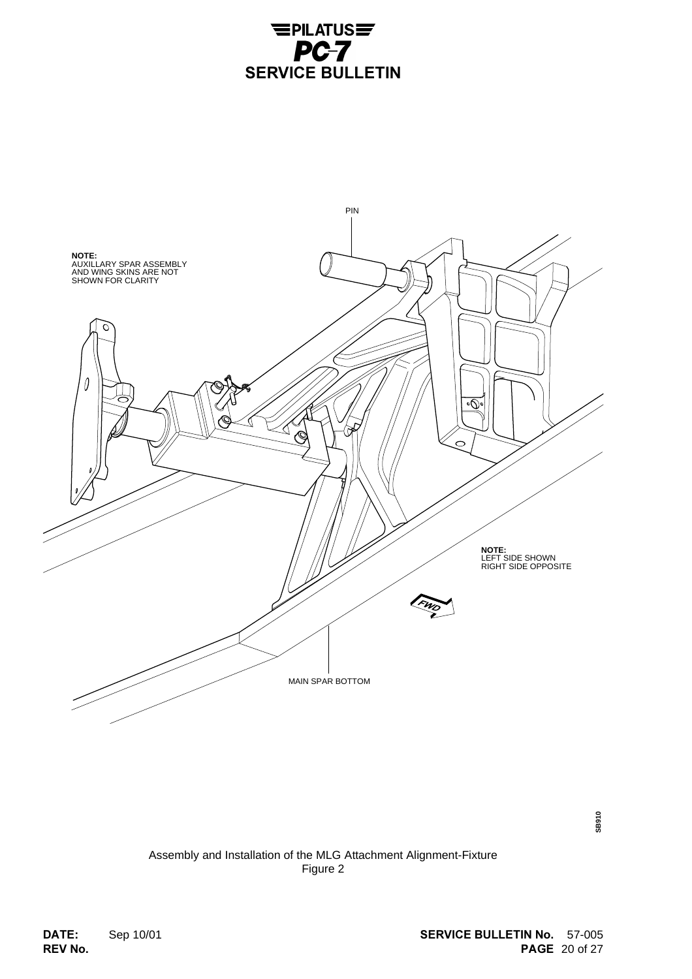



### Assembly and Installation of the MLG Attachment Alignment-Fixture Figure 2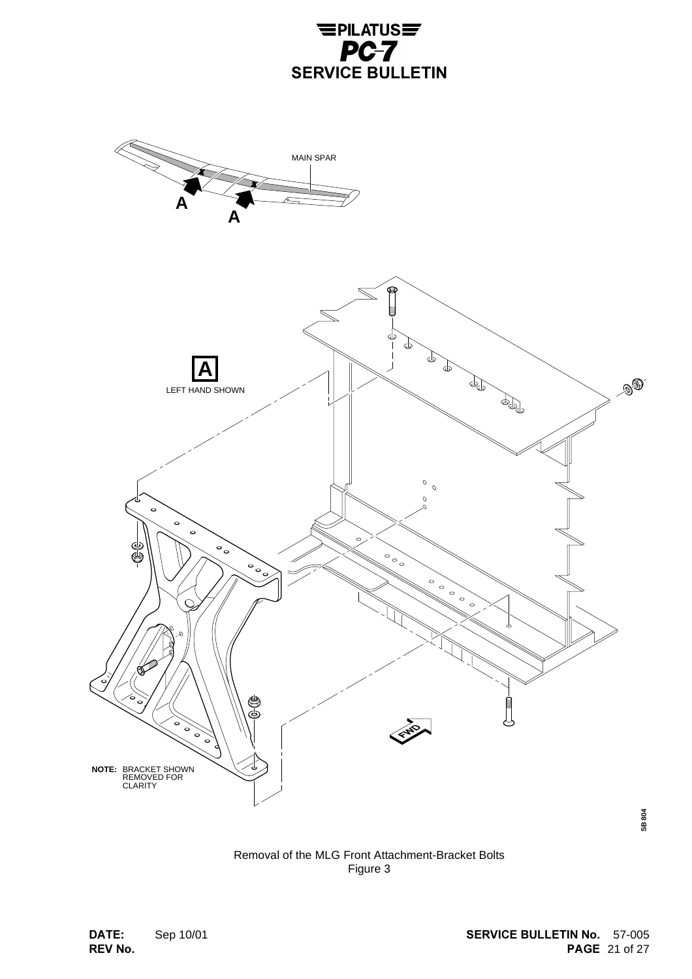





### Removal of the MLG Front Attachment-Bracket Bolts Figure 3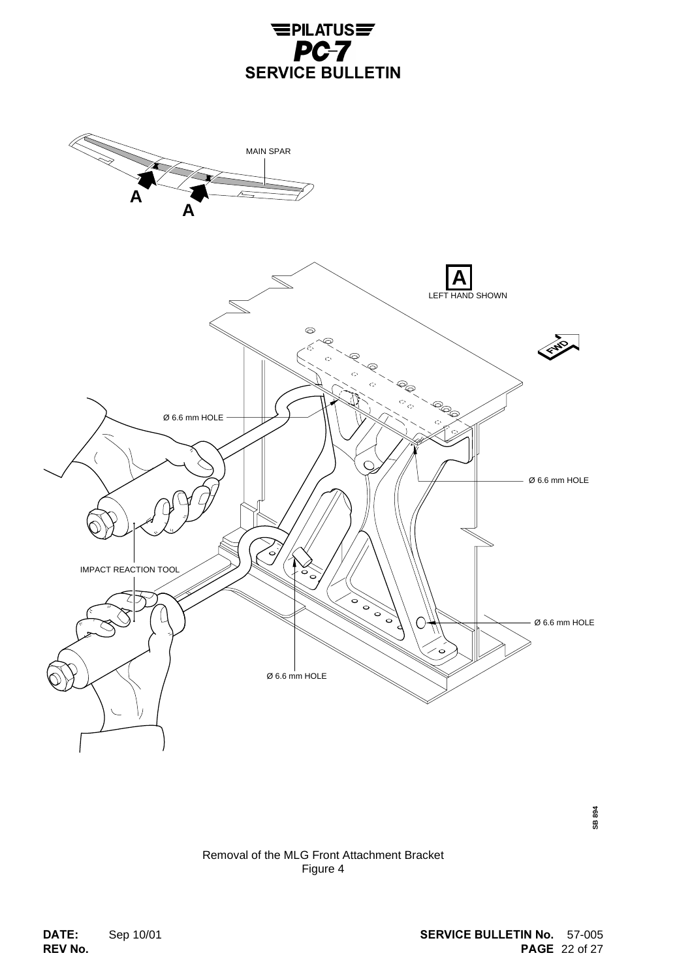



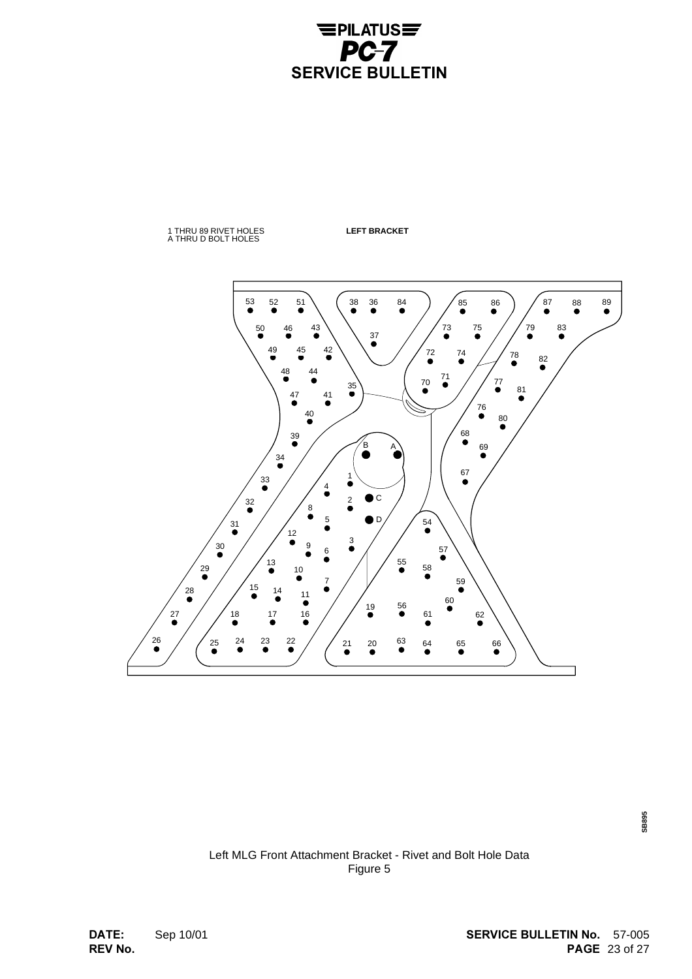

### 1 THRU 89 RIVET HOLES A THRU D BOLT HOLES

**LEFT BRACKET**



#### Left MLG Front Attachment Bracket - Rivet and Bolt Hole Data Figure 5

DATE:<br>REV No. Sep 10/01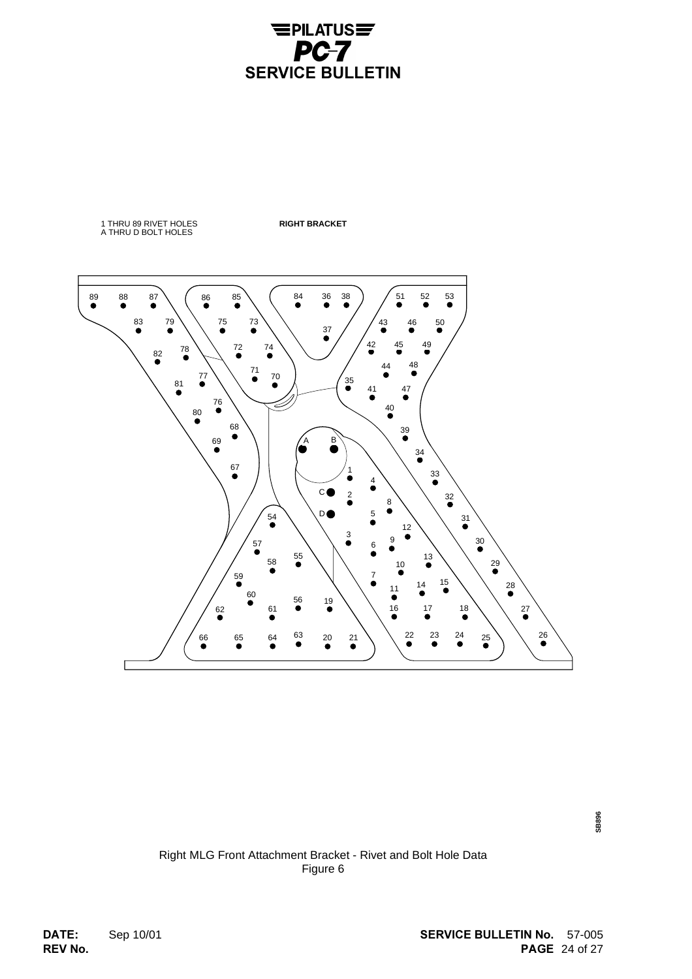### $E$ PILATUS $E$ PC-7 **SERVICE BULLETIN**

1 THRU 89 RIVET HOLES A THRU D BOLT HOLES

**RIGHT BRACKET**



#### Right MLG Front Attachment Bracket - Rivet and Bolt Hole Data Figure 6

**DATE:<br>REV No.** Sep 10/01 

**SERVICE BULLETIN No. 57-005**  -**PAGE** 24 of 27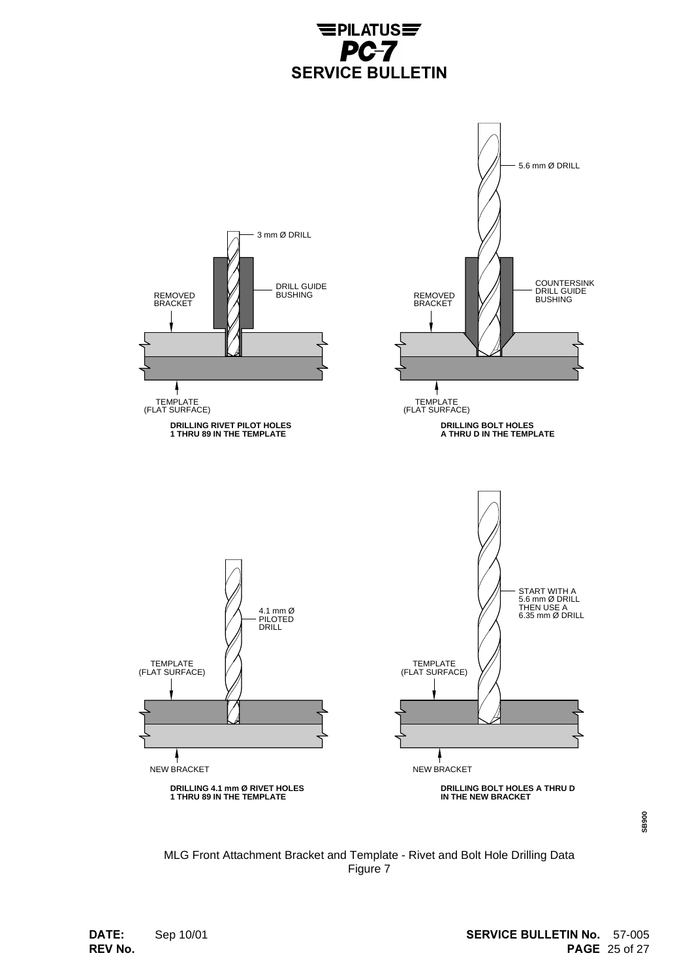



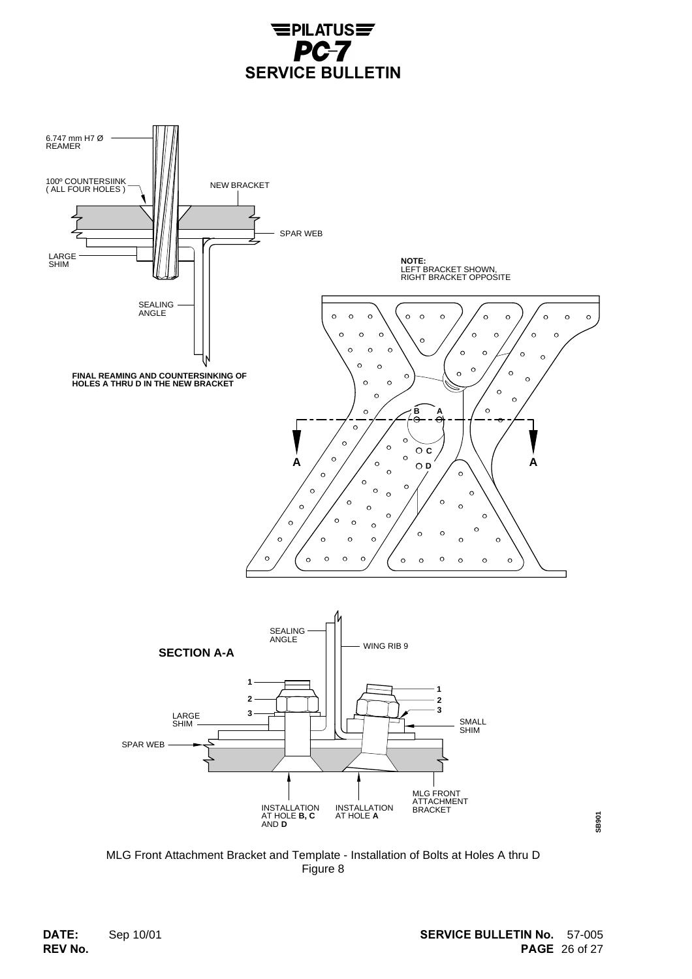